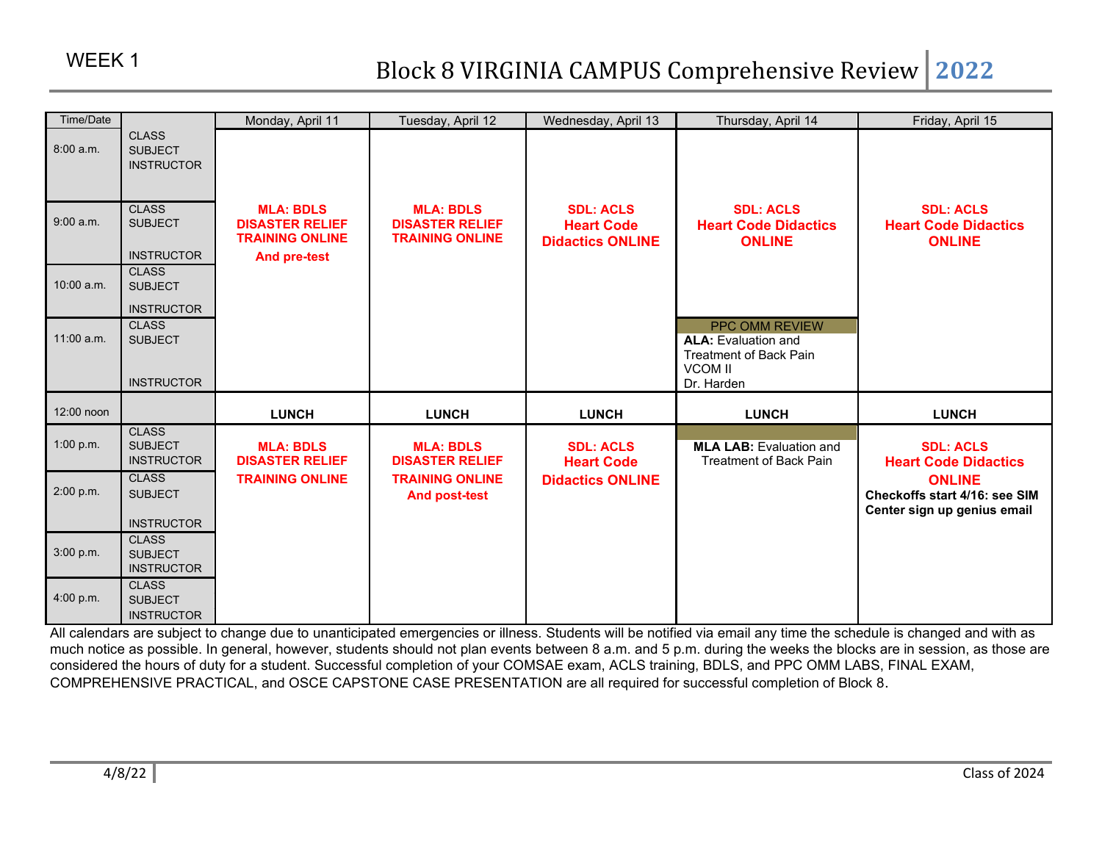| Time/Date    |                                                                          | Monday, April 11                                                                            | Tuesday, April 12                                                    | Wednesday, April 13                                              | Thursday, April 14                                                                                            | Friday, April 15                                                              |
|--------------|--------------------------------------------------------------------------|---------------------------------------------------------------------------------------------|----------------------------------------------------------------------|------------------------------------------------------------------|---------------------------------------------------------------------------------------------------------------|-------------------------------------------------------------------------------|
| 8:00 a.m.    | <b>CLASS</b><br><b>SUBJECT</b><br><b>INSTRUCTOR</b>                      |                                                                                             |                                                                      |                                                                  |                                                                                                               |                                                                               |
| 9:00 a.m.    | <b>CLASS</b><br><b>SUBJECT</b><br><b>INSTRUCTOR</b>                      | <b>MLA: BDLS</b><br><b>DISASTER RELIEF</b><br><b>TRAINING ONLINE</b><br><b>And pre-test</b> | <b>MLA: BDLS</b><br><b>DISASTER RELIEF</b><br><b>TRAINING ONLINE</b> | <b>SDL: ACLS</b><br><b>Heart Code</b><br><b>Didactics ONLINE</b> | <b>SDL: ACLS</b><br><b>Heart Code Didactics</b><br><b>ONLINE</b>                                              | <b>SDL: ACLS</b><br><b>Heart Code Didactics</b><br><b>ONLINE</b>              |
| $10:00$ a.m. | <b>CLASS</b><br><b>SUBJECT</b>                                           |                                                                                             |                                                                      |                                                                  |                                                                                                               |                                                                               |
| $11:00$ a.m. | <b>INSTRUCTOR</b><br><b>CLASS</b><br><b>SUBJECT</b><br><b>INSTRUCTOR</b> |                                                                                             |                                                                      |                                                                  | PPC OMM REVIEW<br><b>ALA:</b> Evaluation and<br><b>Treatment of Back Pain</b><br><b>VCOM II</b><br>Dr. Harden |                                                                               |
| 12:00 noon   |                                                                          | <b>LUNCH</b>                                                                                | <b>LUNCH</b>                                                         | <b>LUNCH</b>                                                     | <b>LUNCH</b>                                                                                                  | <b>LUNCH</b>                                                                  |
| 1:00 p.m.    | <b>CLASS</b><br><b>SUBJECT</b><br><b>INSTRUCTOR</b>                      | <b>MLA: BDLS</b><br><b>DISASTER RELIEF</b>                                                  | <b>MLA: BDLS</b><br><b>DISASTER RELIEF</b>                           | <b>SDL: ACLS</b><br><b>Heart Code</b>                            | <b>MLA LAB: Evaluation and</b><br><b>Treatment of Back Pain</b>                                               | <b>SDL: ACLS</b><br><b>Heart Code Didactics</b>                               |
| 2:00 p.m.    | <b>CLASS</b><br><b>SUBJECT</b>                                           | <b>TRAINING ONLINE</b>                                                                      | <b>TRAINING ONLINE</b><br><b>And post-test</b>                       | <b>Didactics ONLINE</b>                                          |                                                                                                               | <b>ONLINE</b><br>Checkoffs start 4/16: see SIM<br>Center sign up genius email |
| 3:00 p.m.    | <b>INSTRUCTOR</b><br><b>CLASS</b><br><b>SUBJECT</b><br><b>INSTRUCTOR</b> |                                                                                             |                                                                      |                                                                  |                                                                                                               |                                                                               |
| 4:00 p.m.    | <b>CLASS</b><br><b>SUBJECT</b><br><b>INSTRUCTOR</b>                      |                                                                                             |                                                                      |                                                                  |                                                                                                               |                                                                               |

All calendars are subject to change due to unanticipated emergencies or illness. Students will be notified via email any time the schedule is changed and with as much notice as possible. In general, however, students should not plan events between 8 a.m. and 5 p.m. during the weeks the blocks are in session, as those are considered the hours of duty for a student. Successful completion of your COMSAE exam, ACLS training, BDLS, and PPC OMM LABS, FINAL EXAM, COMPREHENSIVE PRACTICAL, and OSCE CAPSTONE CASE PRESENTATION are all required for successful completion of Block 8.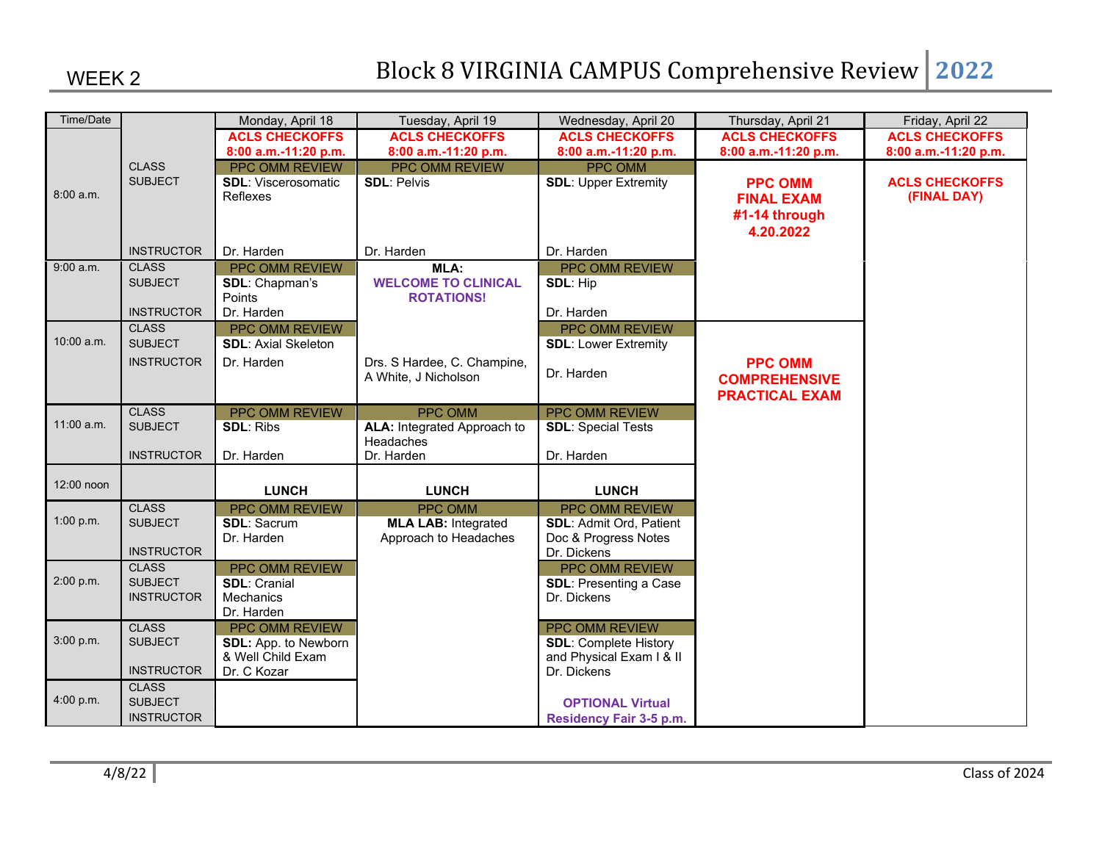| Time/Date  |                                | Monday, April 18                             | Tuesday, April 19                                   | Wednesday, April 20                          | Thursday, April 21    | Friday, April 22      |
|------------|--------------------------------|----------------------------------------------|-----------------------------------------------------|----------------------------------------------|-----------------------|-----------------------|
|            |                                | <b>ACLS CHECKOFFS</b>                        | <b>ACLS CHECKOFFS</b>                               | <b>ACLS CHECKOFFS</b>                        | <b>ACLS CHECKOFFS</b> | <b>ACLS CHECKOFFS</b> |
|            |                                | 8:00 a.m.-11:20 p.m.                         | 8:00 a.m.-11:20 p.m.                                | 8:00 a.m.-11:20 p.m.                         | 8:00 a.m.-11:20 p.m.  | 8:00 a.m.-11:20 p.m.  |
|            | <b>CLASS</b>                   | PPC OMM REVIEW                               | PPC OMM REVIEW                                      | <b>PPC OMM</b>                               |                       |                       |
| 8:00 a.m.  | <b>SUBJECT</b>                 | <b>SDL:</b> Viscerosomatic                   | <b>SDL: Pelvis</b>                                  | <b>SDL: Upper Extremity</b>                  | <b>PPC OMM</b>        | <b>ACLS CHECKOFFS</b> |
|            |                                | Reflexes                                     |                                                     |                                              | <b>FINAL EXAM</b>     | (FINAL DAY)           |
|            |                                |                                              |                                                     |                                              | #1-14 through         |                       |
|            |                                |                                              |                                                     |                                              | 4.20.2022             |                       |
|            | <b>INSTRUCTOR</b>              | Dr. Harden                                   | Dr. Harden                                          | Dr. Harden                                   |                       |                       |
| 9:00 a.m.  | <b>CLASS</b>                   | <b>PPC OMM REVIEW</b>                        | MLA:                                                | <b>PPC OMM REVIEW</b>                        |                       |                       |
|            | <b>SUBJECT</b>                 | SDL: Chapman's                               | <b>WELCOME TO CLINICAL</b>                          | <b>SDL: Hip</b>                              |                       |                       |
|            |                                | Points                                       | <b>ROTATIONS!</b>                                   |                                              |                       |                       |
|            | <b>INSTRUCTOR</b>              | Dr. Harden                                   |                                                     | Dr. Harden                                   |                       |                       |
| 10:00 a.m. | <b>CLASS</b><br><b>SUBJECT</b> | PPC OMM REVIEW<br><b>SDL: Axial Skeleton</b> |                                                     | PPC OMM REVIEW                               |                       |                       |
|            |                                |                                              |                                                     | <b>SDL: Lower Extremity</b>                  |                       |                       |
|            | <b>INSTRUCTOR</b>              | Dr. Harden                                   | Drs. S Hardee, C. Champine,<br>A White, J Nicholson | Dr. Harden                                   | <b>PPC OMM</b>        |                       |
|            |                                |                                              |                                                     |                                              | <b>COMPREHENSIVE</b>  |                       |
|            |                                |                                              |                                                     |                                              | <b>PRACTICAL EXAM</b> |                       |
| 11:00 a.m. | <b>CLASS</b><br><b>SUBJECT</b> | PPC OMM REVIEW<br><b>SDL: Ribs</b>           | <b>PPC OMM</b><br>ALA: Integrated Approach to       | PPC OMM REVIEW<br><b>SDL: Special Tests</b>  |                       |                       |
|            |                                |                                              | Headaches                                           |                                              |                       |                       |
|            | <b>INSTRUCTOR</b>              | Dr. Harden                                   | Dr. Harden                                          | Dr. Harden                                   |                       |                       |
|            |                                |                                              |                                                     |                                              |                       |                       |
| 12:00 noon |                                | <b>LUNCH</b>                                 | <b>LUNCH</b>                                        | <b>LUNCH</b>                                 |                       |                       |
|            | <b>CLASS</b>                   | <b>PPC OMM REVIEW</b>                        | <b>PPC OMM</b>                                      | PPC OMM REVIEW                               |                       |                       |
| 1:00 p.m.  | <b>SUBJECT</b>                 | <b>SDL: Sacrum</b>                           | <b>MLA LAB: Integrated</b>                          | <b>SDL: Admit Ord, Patient</b>               |                       |                       |
|            |                                | Dr. Harden                                   | Approach to Headaches                               | Doc & Progress Notes                         |                       |                       |
|            | <b>INSTRUCTOR</b>              |                                              |                                                     | Dr. Dickens                                  |                       |                       |
| 2:00 p.m.  | <b>CLASS</b><br><b>SUBJECT</b> | <b>PPC OMM REVIEW</b><br><b>SDL: Cranial</b> |                                                     | PPC OMM REVIEW                               |                       |                       |
|            | <b>INSTRUCTOR</b>              | Mechanics                                    |                                                     | <b>SDL: Presenting a Case</b><br>Dr. Dickens |                       |                       |
|            |                                | Dr. Harden                                   |                                                     |                                              |                       |                       |
|            | <b>CLASS</b>                   | PPC OMM REVIEW                               |                                                     | PPC OMM REVIEW                               |                       |                       |
| 3:00 p.m.  | <b>SUBJECT</b>                 | SDL: App. to Newborn                         |                                                     | <b>SDL: Complete History</b>                 |                       |                       |
|            |                                | & Well Child Exam                            |                                                     | and Physical Exam I & II                     |                       |                       |
|            | <b>INSTRUCTOR</b>              | Dr. C Kozar                                  |                                                     | Dr. Dickens                                  |                       |                       |
|            | <b>CLASS</b>                   |                                              |                                                     |                                              |                       |                       |
| 4:00 p.m.  | <b>SUBJECT</b>                 |                                              |                                                     | <b>OPTIONAL Virtual</b>                      |                       |                       |
|            | <b>INSTRUCTOR</b>              |                                              |                                                     | Residency Fair 3-5 p.m.                      |                       |                       |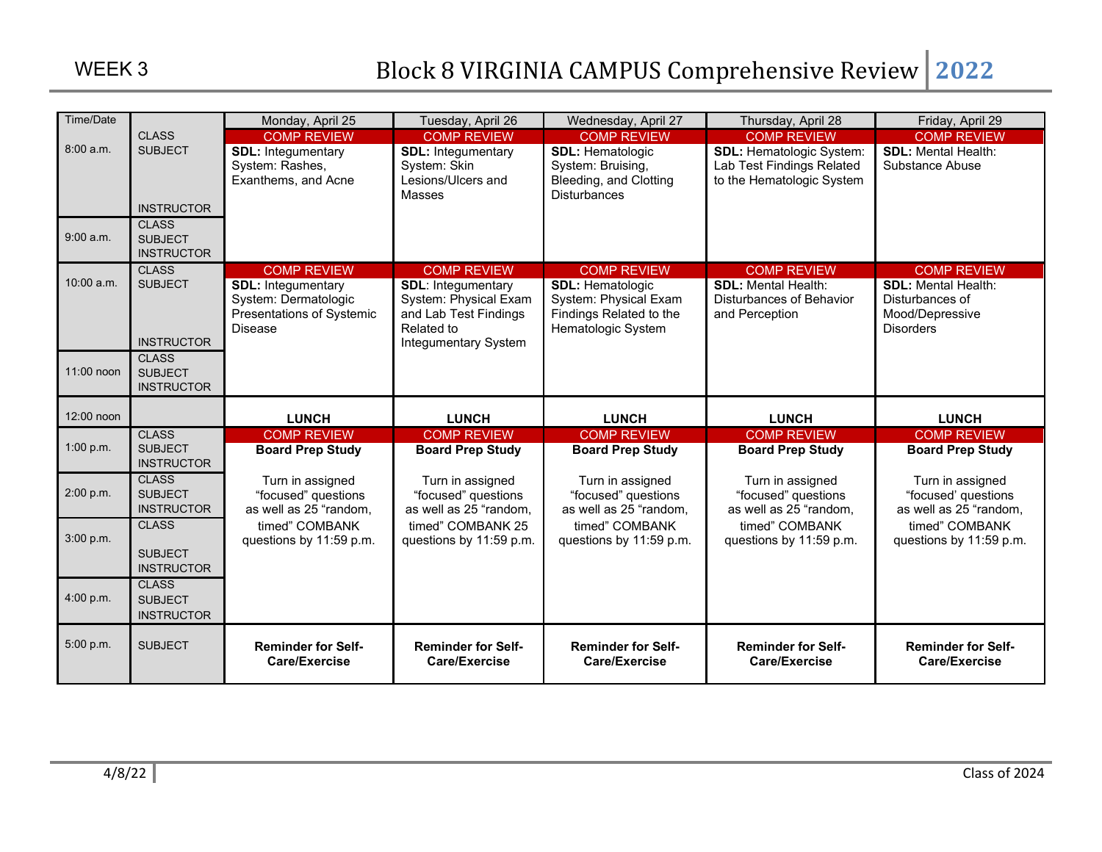| Time/Date  |                                     | Monday, April 25                                  | Tuesday, April 26                              | Wednesday, April 27                              | Thursday, April 28                         | Friday, April 29                   |
|------------|-------------------------------------|---------------------------------------------------|------------------------------------------------|--------------------------------------------------|--------------------------------------------|------------------------------------|
|            | <b>CLASS</b>                        | <b>COMP REVIEW</b>                                | <b>COMP REVIEW</b>                             | <b>COMP REVIEW</b>                               | <b>COMP REVIEW</b>                         | <b>COMP REVIEW</b>                 |
| 8:00a.m.   | <b>SUBJECT</b>                      | <b>SDL: Integumentary</b>                         | <b>SDL: Integumentary</b>                      | <b>SDL: Hematologic</b>                          | <b>SDL: Hematologic System:</b>            | <b>SDL:</b> Mental Health:         |
|            |                                     | System: Rashes,                                   | System: Skin<br>Lesions/Ulcers and             | System: Bruising,                                | Lab Test Findings Related                  | Substance Abuse                    |
|            |                                     | Exanthems, and Acne                               | Masses                                         | Bleeding, and Clotting<br><b>Disturbances</b>    | to the Hematologic System                  |                                    |
|            | <b>INSTRUCTOR</b>                   |                                                   |                                                |                                                  |                                            |                                    |
|            | <b>CLASS</b>                        |                                                   |                                                |                                                  |                                            |                                    |
| 9:00 a.m.  | <b>SUBJECT</b>                      |                                                   |                                                |                                                  |                                            |                                    |
|            | <b>INSTRUCTOR</b>                   |                                                   |                                                |                                                  |                                            |                                    |
|            | <b>CLASS</b>                        | <b>COMP REVIEW</b>                                | <b>COMP REVIEW</b>                             | <b>COMP REVIEW</b>                               | <b>COMP REVIEW</b>                         | <b>COMP REVIEW</b>                 |
| 10:00 a.m. | <b>SUBJECT</b>                      | <b>SDL: Integumentary</b>                         | <b>SDL: Integumentary</b>                      | <b>SDL: Hematologic</b>                          | <b>SDL: Mental Health:</b>                 | <b>SDL: Mental Health:</b>         |
|            |                                     | System: Dermatologic<br>Presentations of Systemic | System: Physical Exam<br>and Lab Test Findings | System: Physical Exam<br>Findings Related to the | Disturbances of Behavior<br>and Perception | Disturbances of<br>Mood/Depressive |
|            |                                     | <b>Disease</b>                                    | Related to                                     | Hematologic System                               |                                            | <b>Disorders</b>                   |
|            | <b>INSTRUCTOR</b>                   |                                                   | Integumentary System                           |                                                  |                                            |                                    |
|            | <b>CLASS</b>                        |                                                   |                                                |                                                  |                                            |                                    |
| 11:00 noon | <b>SUBJECT</b>                      |                                                   |                                                |                                                  |                                            |                                    |
|            | <b>INSTRUCTOR</b>                   |                                                   |                                                |                                                  |                                            |                                    |
| 12:00 noon |                                     | <b>LUNCH</b>                                      | <b>LUNCH</b>                                   | <b>LUNCH</b>                                     | <b>LUNCH</b>                               | <b>LUNCH</b>                       |
|            | <b>CLASS</b>                        | <b>COMP REVIEW</b>                                | <b>COMP REVIEW</b>                             | <b>COMP REVIEW</b>                               | <b>COMP REVIEW</b>                         | <b>COMP REVIEW</b>                 |
| 1:00 p.m.  | <b>SUBJECT</b><br><b>INSTRUCTOR</b> | <b>Board Prep Study</b>                           | <b>Board Prep Study</b>                        | <b>Board Prep Study</b>                          | <b>Board Prep Study</b>                    | <b>Board Prep Study</b>            |
|            | <b>CLASS</b>                        | Turn in assigned                                  | Turn in assigned                               | Turn in assigned                                 | Turn in assigned                           | Turn in assigned                   |
| 2:00 p.m.  | <b>SUBJECT</b>                      | "focused" questions                               | "focused" questions                            | "focused" questions                              | "focused" questions                        | "focused' questions                |
|            | <b>INSTRUCTOR</b>                   | as well as 25 "random,                            | as well as 25 "random,                         | as well as 25 "random,                           | as well as 25 "random,                     | as well as 25 "random,             |
| 3:00 p.m.  | <b>CLASS</b>                        | timed" COMBANK                                    | timed" COMBANK 25                              | timed" COMBANK                                   | timed" COMBANK                             | timed" COMBANK                     |
|            | <b>SUBJECT</b>                      | questions by 11:59 p.m.                           | questions by 11:59 p.m.                        | questions by 11:59 p.m.                          | questions by 11:59 p.m.                    | questions by 11:59 p.m.            |
|            | <b>INSTRUCTOR</b>                   |                                                   |                                                |                                                  |                                            |                                    |
|            | <b>CLASS</b>                        |                                                   |                                                |                                                  |                                            |                                    |
| 4:00 p.m.  | <b>SUBJECT</b>                      |                                                   |                                                |                                                  |                                            |                                    |
|            |                                     |                                                   |                                                |                                                  |                                            |                                    |
|            | <b>INSTRUCTOR</b>                   |                                                   |                                                |                                                  |                                            |                                    |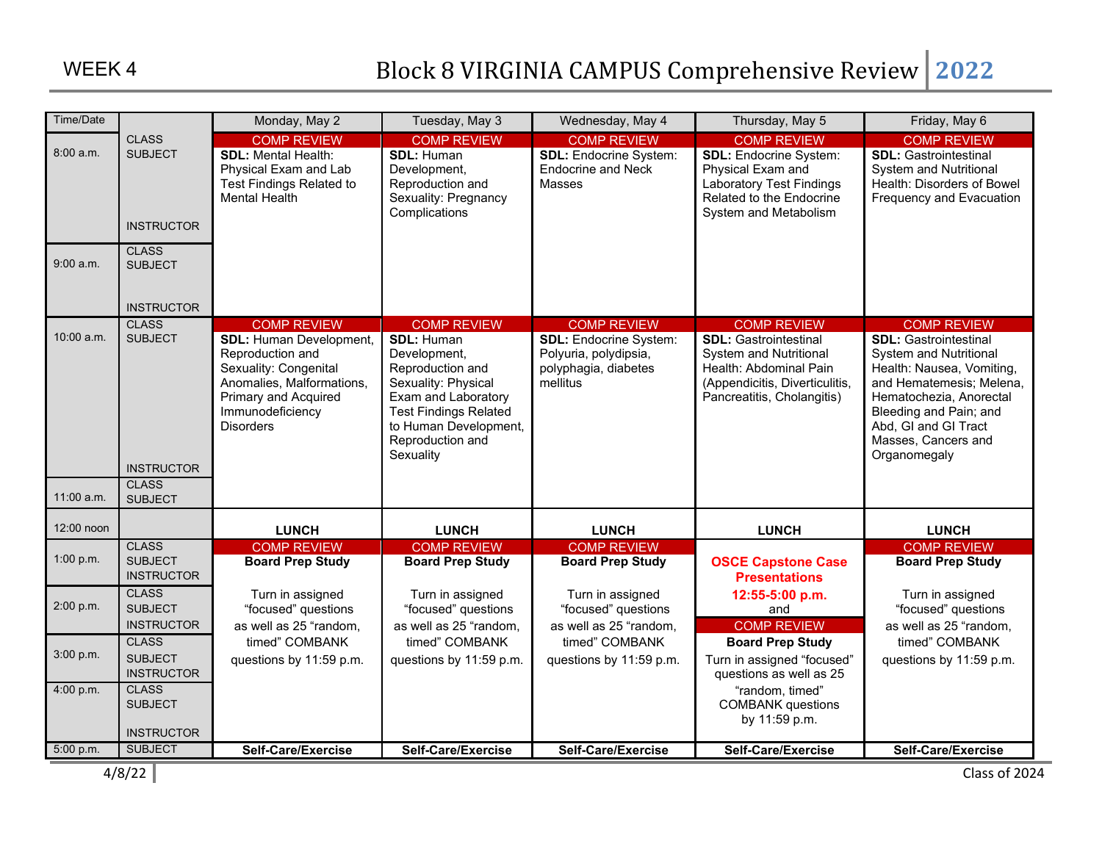| Time/Date              |                                                                                       | Monday, May 2                                                                                                                                                                                         | Tuesday, May 3                                                                                                                                                                                                      | Wednesday, May 4                                                                                                 | Thursday, May 5                                                                                                                                                               | Friday, May 6                                                                                                                                                                                                                                                    |
|------------------------|---------------------------------------------------------------------------------------|-------------------------------------------------------------------------------------------------------------------------------------------------------------------------------------------------------|---------------------------------------------------------------------------------------------------------------------------------------------------------------------------------------------------------------------|------------------------------------------------------------------------------------------------------------------|-------------------------------------------------------------------------------------------------------------------------------------------------------------------------------|------------------------------------------------------------------------------------------------------------------------------------------------------------------------------------------------------------------------------------------------------------------|
| 8:00 a.m.<br>9:00 a.m. | <b>CLASS</b><br><b>SUBJECT</b><br><b>INSTRUCTOR</b><br><b>CLASS</b><br><b>SUBJECT</b> | <b>COMP REVIEW</b><br><b>SDL: Mental Health:</b><br>Physical Exam and Lab<br>Test Findings Related to<br><b>Mental Health</b>                                                                         | <b>COMP REVIEW</b><br><b>SDL: Human</b><br>Development,<br>Reproduction and<br>Sexuality: Pregnancy<br>Complications                                                                                                | <b>COMP REVIEW</b><br><b>SDL:</b> Endocrine System:<br><b>Endocrine and Neck</b><br>Masses                       | <b>COMP REVIEW</b><br><b>SDL: Endocrine System:</b><br>Physical Exam and<br><b>Laboratory Test Findings</b><br>Related to the Endocrine<br>System and Metabolism              | <b>COMP REVIEW</b><br><b>SDL: Gastrointestinal</b><br><b>System and Nutritional</b><br>Health: Disorders of Bowel<br>Frequency and Evacuation                                                                                                                    |
|                        | <b>INSTRUCTOR</b>                                                                     |                                                                                                                                                                                                       |                                                                                                                                                                                                                     |                                                                                                                  |                                                                                                                                                                               |                                                                                                                                                                                                                                                                  |
| 10:00 a.m.             | <b>CLASS</b><br><b>SUBJECT</b><br><b>INSTRUCTOR</b>                                   | <b>COMP REVIEW</b><br><b>SDL: Human Development,</b><br>Reproduction and<br>Sexuality: Congenital<br>Anomalies, Malformations,<br><b>Primary and Acquired</b><br>Immunodeficiency<br><b>Disorders</b> | <b>COMP REVIEW</b><br><b>SDL: Human</b><br>Development,<br>Reproduction and<br>Sexuality: Physical<br>Exam and Laboratory<br><b>Test Findings Related</b><br>to Human Development,<br>Reproduction and<br>Sexuality | <b>COMP REVIEW</b><br><b>SDL:</b> Endocrine System:<br>Polyuria, polydipsia,<br>polyphagia, diabetes<br>mellitus | <b>COMP REVIEW</b><br><b>SDL: Gastrointestinal</b><br><b>System and Nutritional</b><br>Health: Abdominal Pain<br>(Appendicitis, Diverticulitis,<br>Pancreatitis, Cholangitis) | <b>COMP REVIEW</b><br><b>SDL: Gastrointestinal</b><br><b>System and Nutritional</b><br>Health: Nausea, Vomiting,<br>and Hematemesis; Melena,<br>Hematochezia, Anorectal<br>Bleeding and Pain; and<br>Abd, GI and GI Tract<br>Masses, Cancers and<br>Organomegaly |
| 11:00 a.m.             | <b>CLASS</b><br><b>SUBJECT</b>                                                        |                                                                                                                                                                                                       |                                                                                                                                                                                                                     |                                                                                                                  |                                                                                                                                                                               |                                                                                                                                                                                                                                                                  |
| 12:00 noon             |                                                                                       | <b>LUNCH</b>                                                                                                                                                                                          | <b>LUNCH</b>                                                                                                                                                                                                        | <b>LUNCH</b>                                                                                                     | <b>LUNCH</b>                                                                                                                                                                  | <b>LUNCH</b>                                                                                                                                                                                                                                                     |
| 1:00 p.m.              | <b>CLASS</b><br><b>SUBJECT</b><br><b>INSTRUCTOR</b>                                   | <b>COMP REVIEW</b><br><b>Board Prep Study</b>                                                                                                                                                         | <b>COMP REVIEW</b><br><b>Board Prep Study</b>                                                                                                                                                                       | <b>COMP REVIEW</b><br><b>Board Prep Study</b>                                                                    | <b>OSCE Capstone Case</b><br><b>Presentations</b>                                                                                                                             | <b>COMP REVIEW</b><br><b>Board Prep Study</b>                                                                                                                                                                                                                    |
| 2:00 p.m.              | <b>CLASS</b><br><b>SUBJECT</b><br><b>INSTRUCTOR</b>                                   | Turn in assigned<br>"focused" questions<br>as well as 25 "random,                                                                                                                                     | Turn in assigned<br>"focused" questions<br>as well as 25 "random,                                                                                                                                                   | Turn in assigned<br>"focused" questions<br>as well as 25 "random,                                                | 12:55-5:00 p.m.<br>and<br><b>COMP REVIEW</b>                                                                                                                                  | Turn in assigned<br>"focused" questions<br>as well as 25 "random,                                                                                                                                                                                                |
| 3:00 p.m.              | <b>CLASS</b><br><b>SUBJECT</b><br><b>INSTRUCTOR</b>                                   | timed" COMBANK<br>questions by 11:59 p.m.                                                                                                                                                             | timed" COMBANK<br>questions by 11:59 p.m.                                                                                                                                                                           | timed" COMBANK<br>questions by 11:59 p.m.                                                                        | <b>Board Prep Study</b><br>Turn in assigned "focused"<br>questions as well as 25                                                                                              | timed" COMBANK<br>questions by 11:59 p.m.                                                                                                                                                                                                                        |
| 4:00 p.m.              | <b>CLASS</b><br><b>SUBJECT</b><br><b>INSTRUCTOR</b>                                   |                                                                                                                                                                                                       |                                                                                                                                                                                                                     |                                                                                                                  | "random, timed"<br><b>COMBANK</b> questions<br>by 11:59 p.m.                                                                                                                  |                                                                                                                                                                                                                                                                  |
| 5:00 p.m.              | <b>SUBJECT</b>                                                                        | Self-Care/Exercise                                                                                                                                                                                    | Self-Care/Exercise                                                                                                                                                                                                  | Self-Care/Exercise                                                                                               | Self-Care/Exercise                                                                                                                                                            | Self-Care/Exercise                                                                                                                                                                                                                                               |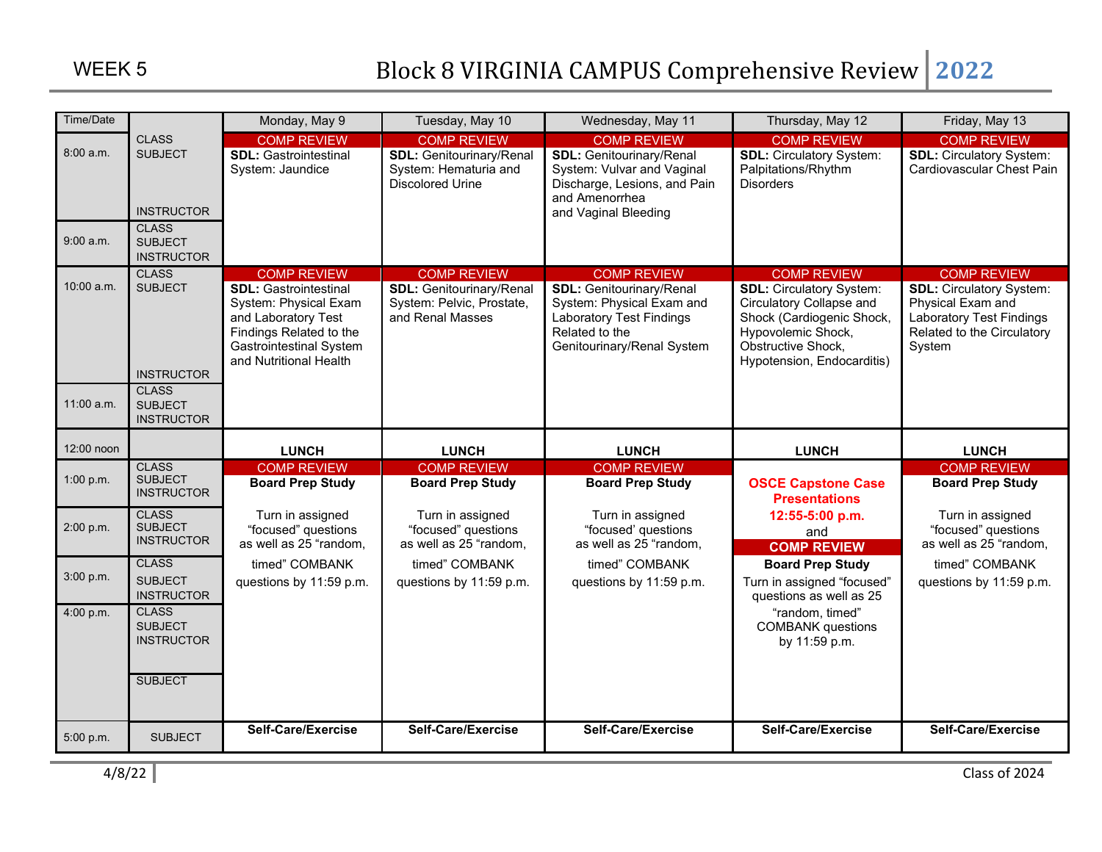| Time/Date    |                                     | Monday, May 9                                            | Tuesday, May 10                                              | Wednesday, May 11                                             | Thursday, May 12                                            | Friday, May 13                                               |
|--------------|-------------------------------------|----------------------------------------------------------|--------------------------------------------------------------|---------------------------------------------------------------|-------------------------------------------------------------|--------------------------------------------------------------|
|              | <b>CLASS</b>                        | <b>COMP REVIEW</b>                                       | <b>COMP REVIEW</b>                                           | <b>COMP REVIEW</b>                                            | <b>COMP REVIEW</b>                                          | <b>COMP REVIEW</b>                                           |
| 8:00 a.m.    | <b>SUBJECT</b>                      | <b>SDL: Gastrointestinal</b><br>System: Jaundice         | <b>SDL: Genitourinary/Renal</b><br>System: Hematuria and     | <b>SDL: Genitourinary/Renal</b><br>System: Vulvar and Vaginal | <b>SDL: Circulatory System:</b><br>Palpitations/Rhythm      | <b>SDL: Circulatory System:</b><br>Cardiovascular Chest Pain |
|              |                                     |                                                          | <b>Discolored Urine</b>                                      | Discharge, Lesions, and Pain                                  | <b>Disorders</b>                                            |                                                              |
|              |                                     |                                                          |                                                              | and Amenorrhea                                                |                                                             |                                                              |
|              | <b>INSTRUCTOR</b><br><b>CLASS</b>   |                                                          |                                                              | and Vaginal Bleeding                                          |                                                             |                                                              |
| 9:00 a.m.    | <b>SUBJECT</b>                      |                                                          |                                                              |                                                               |                                                             |                                                              |
|              | <b>INSTRUCTOR</b>                   |                                                          |                                                              |                                                               |                                                             |                                                              |
| 10:00 a.m.   | <b>CLASS</b><br><b>SUBJECT</b>      | <b>COMP REVIEW</b>                                       | <b>COMP REVIEW</b>                                           | <b>COMP REVIEW</b>                                            | <b>COMP REVIEW</b>                                          | <b>COMP REVIEW</b>                                           |
|              |                                     | <b>SDL: Gastrointestinal</b><br>System: Physical Exam    | <b>SDL: Genitourinary/Renal</b><br>System: Pelvic, Prostate, | <b>SDL: Genitourinary/Renal</b><br>System: Physical Exam and  | <b>SDL: Circulatory System:</b><br>Circulatory Collapse and | <b>SDL: Circulatory System:</b><br>Physical Exam and         |
|              |                                     | and Laboratory Test                                      | and Renal Masses                                             | <b>Laboratory Test Findings</b>                               | Shock (Cardiogenic Shock,                                   | <b>Laboratory Test Findings</b>                              |
|              |                                     | Findings Related to the                                  |                                                              | Related to the<br>Genitourinary/Renal System                  | Hypovolemic Shock,<br>Obstructive Shock,                    | Related to the Circulatory                                   |
|              |                                     | <b>Gastrointestinal System</b><br>and Nutritional Health |                                                              |                                                               | Hypotension, Endocarditis)                                  | System                                                       |
|              | <b>INSTRUCTOR</b>                   |                                                          |                                                              |                                                               |                                                             |                                                              |
| $11:00$ a.m. | <b>CLASS</b><br><b>SUBJECT</b>      |                                                          |                                                              |                                                               |                                                             |                                                              |
|              | <b>INSTRUCTOR</b>                   |                                                          |                                                              |                                                               |                                                             |                                                              |
|              |                                     |                                                          |                                                              |                                                               |                                                             |                                                              |
| 12:00 noon   | <b>CLASS</b>                        | <b>LUNCH</b>                                             | <b>LUNCH</b>                                                 | <b>LUNCH</b>                                                  | <b>LUNCH</b>                                                | <b>LUNCH</b>                                                 |
| 1:00 p.m.    | <b>SUBJECT</b>                      | <b>COMP REVIEW</b><br><b>Board Prep Study</b>            | <b>COMP REVIEW</b><br><b>Board Prep Study</b>                | <b>COMP REVIEW</b><br><b>Board Prep Study</b>                 | <b>OSCE Capstone Case</b>                                   | <b>COMP REVIEW</b><br><b>Board Prep Study</b>                |
|              | <b>INSTRUCTOR</b>                   |                                                          |                                                              |                                                               | <b>Presentations</b>                                        |                                                              |
|              | <b>CLASS</b>                        | Turn in assigned                                         | Turn in assigned                                             | Turn in assigned                                              | 12:55-5:00 p.m.                                             | Turn in assigned                                             |
| 2:00 p.m.    | <b>SUBJECT</b><br><b>INSTRUCTOR</b> | "focused" questions                                      | "focused" questions                                          | "focused' questions                                           | and                                                         | "focused" questions                                          |
|              | <b>CLASS</b>                        | as well as 25 "random,                                   | as well as 25 "random,                                       | as well as 25 "random,                                        | <b>COMP REVIEW</b>                                          | as well as 25 "random,                                       |
| 3:00 p.m.    | <b>SUBJECT</b>                      | timed" COMBANK                                           | timed" COMBANK                                               | timed" COMBANK                                                | <b>Board Prep Study</b>                                     | timed" COMBANK                                               |
|              | <b>INSTRUCTOR</b>                   | questions by 11:59 p.m.                                  | questions by 11:59 p.m.                                      | questions by 11:59 p.m.                                       | Turn in assigned "focused"<br>questions as well as 25       | questions by 11:59 p.m.                                      |
|              |                                     |                                                          |                                                              |                                                               |                                                             |                                                              |
| 4:00 p.m.    | <b>CLASS</b>                        |                                                          |                                                              |                                                               | "random, timed"                                             |                                                              |
|              | <b>SUBJECT</b>                      |                                                          |                                                              |                                                               | <b>COMBANK</b> questions                                    |                                                              |
|              | <b>INSTRUCTOR</b>                   |                                                          |                                                              |                                                               | by 11:59 p.m.                                               |                                                              |
|              |                                     |                                                          |                                                              |                                                               |                                                             |                                                              |
|              | <b>SUBJECT</b>                      |                                                          |                                                              |                                                               |                                                             |                                                              |
|              |                                     |                                                          |                                                              |                                                               |                                                             |                                                              |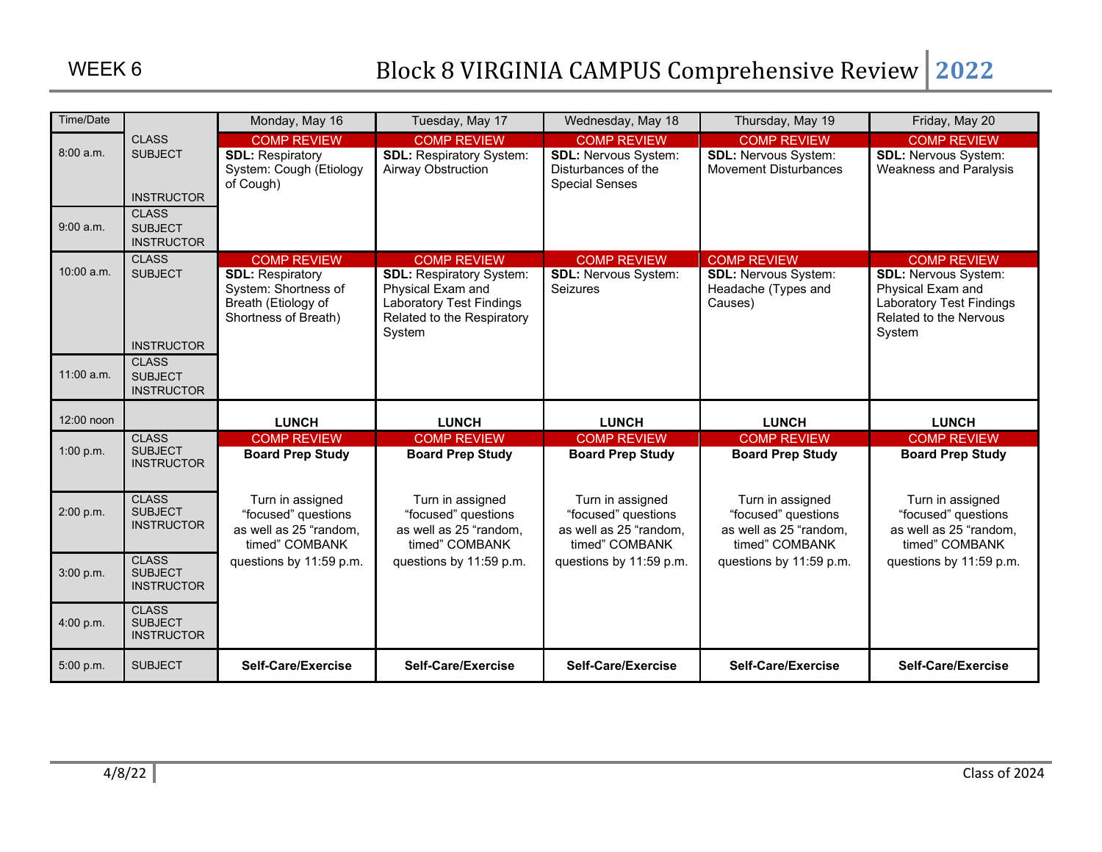| Time/Date              |                                                                                       | Monday, May 16                                                                                                       | Tuesday, May 17                                                                                                                                       | Wednesday, May 18                                                                                 | Thursday, May 19                                                                    | Friday, May 20                                                                                                                                |
|------------------------|---------------------------------------------------------------------------------------|----------------------------------------------------------------------------------------------------------------------|-------------------------------------------------------------------------------------------------------------------------------------------------------|---------------------------------------------------------------------------------------------------|-------------------------------------------------------------------------------------|-----------------------------------------------------------------------------------------------------------------------------------------------|
| 8:00 a.m.<br>9:00 a.m. | <b>CLASS</b><br><b>SUBJECT</b><br><b>INSTRUCTOR</b><br><b>CLASS</b><br><b>SUBJECT</b> | <b>COMP REVIEW</b><br><b>SDL: Respiratory</b><br>System: Cough (Etiology<br>of Cough)                                | <b>COMP REVIEW</b><br><b>SDL: Respiratory System:</b><br><b>Airway Obstruction</b>                                                                    | <b>COMP REVIEW</b><br><b>SDL: Nervous System:</b><br>Disturbances of the<br><b>Special Senses</b> | <b>COMP REVIEW</b><br><b>SDL: Nervous System:</b><br><b>Movement Disturbances</b>   | <b>COMP REVIEW</b><br><b>SDL: Nervous System:</b><br><b>Weakness and Paralysis</b>                                                            |
| 10:00 a.m.             | <b>INSTRUCTOR</b><br><b>CLASS</b><br><b>SUBJECT</b><br><b>INSTRUCTOR</b>              | <b>COMP REVIEW</b><br><b>SDL: Respiratory</b><br>System: Shortness of<br>Breath (Etiology of<br>Shortness of Breath) | <b>COMP REVIEW</b><br><b>SDL: Respiratory System:</b><br>Physical Exam and<br><b>Laboratory Test Findings</b><br>Related to the Respiratory<br>System | <b>COMP REVIEW</b><br><b>SDL: Nervous System:</b><br>Seizures                                     | <b>COMP REVIEW</b><br><b>SDL: Nervous System:</b><br>Headache (Types and<br>Causes) | <b>COMP REVIEW</b><br><b>SDL: Nervous System:</b><br>Physical Exam and<br><b>Laboratory Test Findings</b><br>Related to the Nervous<br>System |
| $11:00$ a.m.           | <b>CLASS</b><br><b>SUBJECT</b><br><b>INSTRUCTOR</b>                                   |                                                                                                                      |                                                                                                                                                       |                                                                                                   |                                                                                     |                                                                                                                                               |
| 12:00 noon             |                                                                                       | <b>LUNCH</b>                                                                                                         | <b>LUNCH</b>                                                                                                                                          | <b>LUNCH</b>                                                                                      | <b>LUNCH</b>                                                                        | <b>LUNCH</b>                                                                                                                                  |
| 1:00 p.m.              | <b>CLASS</b><br><b>SUBJECT</b><br><b>INSTRUCTOR</b>                                   | <b>COMP REVIEW</b><br><b>Board Prep Study</b>                                                                        | <b>COMP REVIEW</b><br><b>Board Prep Study</b>                                                                                                         | <b>COMP REVIEW</b><br><b>Board Prep Study</b>                                                     | <b>COMP REVIEW</b><br><b>Board Prep Study</b>                                       | <b>COMP REVIEW</b><br><b>Board Prep Study</b>                                                                                                 |
| 2:00 p.m.              | <b>CLASS</b><br><b>SUBJECT</b><br><b>INSTRUCTOR</b>                                   | Turn in assigned<br>"focused" questions<br>as well as 25 "random,<br>timed" COMBANK                                  | Turn in assigned<br>"focused" questions<br>as well as 25 "random,<br>timed" COMBANK                                                                   | Turn in assigned<br>"focused" questions<br>as well as 25 "random,<br>timed" COMBANK               | Turn in assigned<br>"focused" questions<br>as well as 25 "random,<br>timed" COMBANK | Turn in assigned<br>"focused" questions<br>as well as 25 "random,<br>timed" COMBANK                                                           |
| 3:00 p.m.              | <b>CLASS</b><br><b>SUBJECT</b><br><b>INSTRUCTOR</b>                                   | questions by 11:59 p.m.                                                                                              | questions by 11:59 p.m.                                                                                                                               | questions by 11:59 p.m.                                                                           | questions by 11:59 p.m.                                                             | questions by 11:59 p.m.                                                                                                                       |
| 4:00 p.m.              | <b>CLASS</b><br><b>SUBJECT</b><br><b>INSTRUCTOR</b>                                   |                                                                                                                      |                                                                                                                                                       |                                                                                                   |                                                                                     |                                                                                                                                               |
|                        |                                                                                       |                                                                                                                      |                                                                                                                                                       |                                                                                                   |                                                                                     |                                                                                                                                               |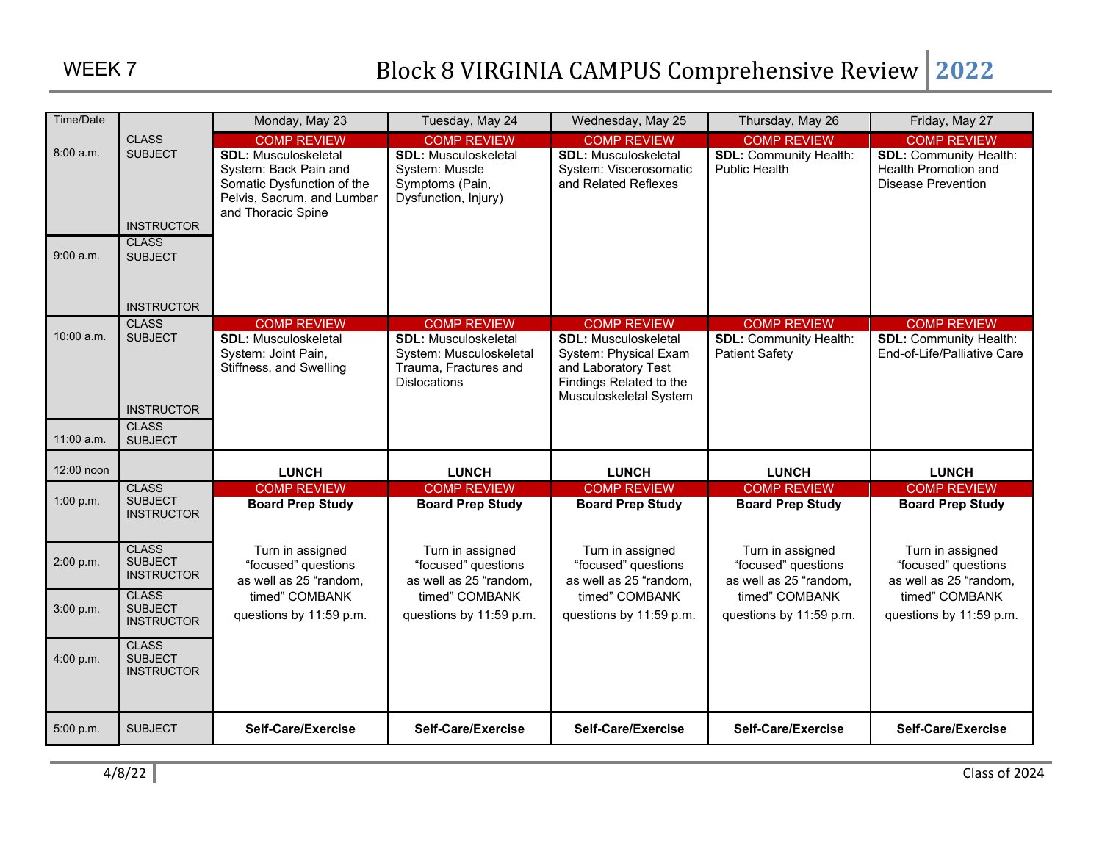| Time/Date    |                                                     | Monday, May 23                                                                                                                         | Tuesday, May 24                                                                                        | Wednesday, May 25                                                                                                                | Thursday, May 26                                                  | Friday, May 27                                                              |
|--------------|-----------------------------------------------------|----------------------------------------------------------------------------------------------------------------------------------------|--------------------------------------------------------------------------------------------------------|----------------------------------------------------------------------------------------------------------------------------------|-------------------------------------------------------------------|-----------------------------------------------------------------------------|
|              | <b>CLASS</b>                                        | <b>COMP REVIEW</b>                                                                                                                     | <b>COMP REVIEW</b>                                                                                     | <b>COMP REVIEW</b>                                                                                                               | <b>COMP REVIEW</b>                                                | <b>COMP REVIEW</b>                                                          |
| 8:00 a.m.    | <b>SUBJECT</b><br><b>INSTRUCTOR</b><br><b>CLASS</b> | <b>SDL: Musculoskeletal</b><br>System: Back Pain and<br>Somatic Dysfunction of the<br>Pelvis, Sacrum, and Lumbar<br>and Thoracic Spine | <b>SDL: Musculoskeletal</b><br>System: Muscle<br>Symptoms (Pain,<br>Dysfunction, Injury)               | <b>SDL: Musculoskeletal</b><br>System: Viscerosomatic<br>and Related Reflexes                                                    | <b>SDL: Community Health:</b><br><b>Public Health</b>             | <b>SDL: Community Health:</b><br>Health Promotion and<br>Disease Prevention |
| $9:00$ a.m.  | <b>SUBJECT</b><br><b>INSTRUCTOR</b>                 |                                                                                                                                        |                                                                                                        |                                                                                                                                  |                                                                   |                                                                             |
|              | <b>CLASS</b>                                        | <b>COMP REVIEW</b>                                                                                                                     | <b>COMP REVIEW</b>                                                                                     | <b>COMP REVIEW</b>                                                                                                               | <b>COMP REVIEW</b>                                                | <b>COMP REVIEW</b>                                                          |
| $10:00$ a.m. | <b>SUBJECT</b>                                      | <b>SDL: Musculoskeletal</b><br>System: Joint Pain,<br>Stiffness, and Swelling                                                          | <b>SDL: Musculoskeletal</b><br>System: Musculoskeletal<br>Trauma, Fractures and<br><b>Dislocations</b> | <b>SDL: Musculoskeletal</b><br>System: Physical Exam<br>and Laboratory Test<br>Findings Related to the<br>Musculoskeletal System | <b>SDL: Community Health:</b><br><b>Patient Safety</b>            | <b>SDL: Community Health:</b><br>End-of-Life/Palliative Care                |
|              | <b>INSTRUCTOR</b>                                   |                                                                                                                                        |                                                                                                        |                                                                                                                                  |                                                                   |                                                                             |
| 11:00 a.m.   | <b>CLASS</b><br><b>SUBJECT</b>                      |                                                                                                                                        |                                                                                                        |                                                                                                                                  |                                                                   |                                                                             |
| 12:00 noon   |                                                     | <b>LUNCH</b>                                                                                                                           | <b>LUNCH</b>                                                                                           | <b>LUNCH</b>                                                                                                                     | <b>LUNCH</b>                                                      | <b>LUNCH</b>                                                                |
|              | <b>CLASS</b>                                        | <b>COMP REVIEW</b>                                                                                                                     | <b>COMP REVIEW</b>                                                                                     | <b>COMP REVIEW</b>                                                                                                               | <b>COMP REVIEW</b>                                                | <b>COMP REVIEW</b>                                                          |
| 1:00 p.m.    | <b>SUBJECT</b><br><b>INSTRUCTOR</b>                 | <b>Board Prep Study</b>                                                                                                                | <b>Board Prep Study</b>                                                                                | <b>Board Prep Study</b>                                                                                                          | <b>Board Prep Study</b>                                           | <b>Board Prep Study</b>                                                     |
| 2:00 p.m.    | <b>CLASS</b><br><b>SUBJECT</b><br><b>INSTRUCTOR</b> | Turn in assigned<br>"focused" questions<br>as well as 25 "random,                                                                      | Turn in assigned<br>"focused" questions<br>as well as 25 "random,                                      | Turn in assigned<br>"focused" questions<br>as well as 25 "random,                                                                | Turn in assigned<br>"focused" questions<br>as well as 25 "random, | Turn in assigned<br>"focused" questions<br>as well as 25 "random,           |
| 3:00 p.m.    | <b>CLASS</b><br><b>SUBJECT</b><br><b>INSTRUCTOR</b> | timed" COMBANK<br>questions by 11:59 p.m.                                                                                              | timed" COMBANK<br>questions by 11:59 p.m.                                                              | timed" COMBANK<br>questions by 11:59 p.m.                                                                                        | timed" COMBANK<br>questions by 11:59 p.m.                         | timed" COMBANK<br>questions by 11:59 p.m.                                   |
| 4:00 p.m.    | <b>CLASS</b><br><b>SUBJECT</b><br><b>INSTRUCTOR</b> |                                                                                                                                        |                                                                                                        |                                                                                                                                  |                                                                   |                                                                             |
| 5:00 p.m.    | <b>SUBJECT</b>                                      | Self-Care/Exercise                                                                                                                     | Self-Care/Exercise                                                                                     | Self-Care/Exercise                                                                                                               | Self-Care/Exercise                                                | Self-Care/Exercise                                                          |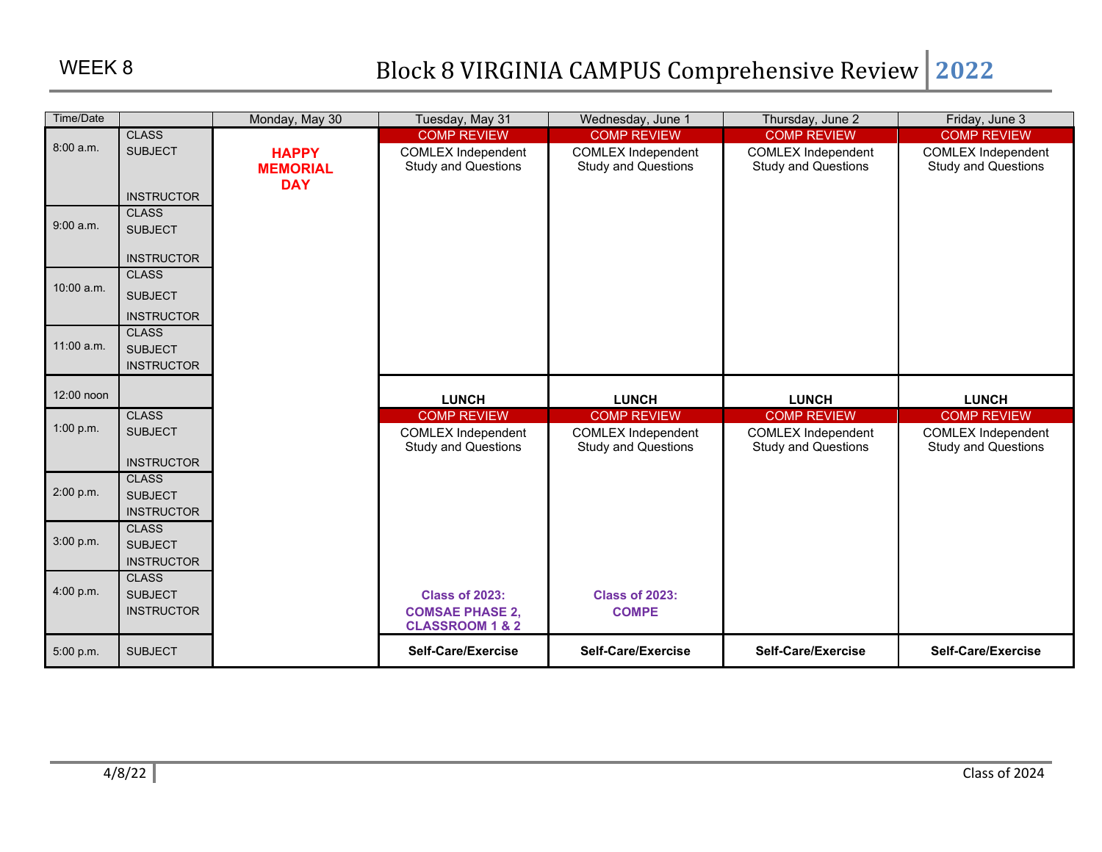| Time/Date    |                                | Monday, May 30  | Tuesday, May 31            | Wednesday, June 1          | Thursday, June 2           | Friday, June 3             |
|--------------|--------------------------------|-----------------|----------------------------|----------------------------|----------------------------|----------------------------|
|              | <b>CLASS</b>                   |                 | <b>COMP REVIEW</b>         | <b>COMP REVIEW</b>         | <b>COMP REVIEW</b>         | <b>COMP REVIEW</b>         |
| 8:00 a.m.    | <b>SUBJECT</b>                 | <b>HAPPY</b>    | <b>COMLEX Independent</b>  | <b>COMLEX Independent</b>  | <b>COMLEX Independent</b>  | <b>COMLEX Independent</b>  |
|              |                                | <b>MEMORIAL</b> | <b>Study and Questions</b> | <b>Study and Questions</b> | <b>Study and Questions</b> | <b>Study and Questions</b> |
|              |                                | <b>DAY</b>      |                            |                            |                            |                            |
|              | <b>INSTRUCTOR</b>              |                 |                            |                            |                            |                            |
| 9:00 a.m.    | <b>CLASS</b><br><b>SUBJECT</b> |                 |                            |                            |                            |                            |
|              |                                |                 |                            |                            |                            |                            |
|              | <b>INSTRUCTOR</b>              |                 |                            |                            |                            |                            |
|              | <b>CLASS</b>                   |                 |                            |                            |                            |                            |
| $10:00$ a.m. | <b>SUBJECT</b>                 |                 |                            |                            |                            |                            |
|              | <b>INSTRUCTOR</b>              |                 |                            |                            |                            |                            |
|              | <b>CLASS</b>                   |                 |                            |                            |                            |                            |
| $11:00$ a.m. | <b>SUBJECT</b>                 |                 |                            |                            |                            |                            |
|              | <b>INSTRUCTOR</b>              |                 |                            |                            |                            |                            |
| 12:00 noon   |                                |                 |                            |                            |                            |                            |
|              |                                |                 | <b>LUNCH</b>               | <b>LUNCH</b>               | <b>LUNCH</b>               | <b>LUNCH</b>               |
| 1:00 p.m.    | <b>CLASS</b>                   |                 | <b>COMP REVIEW</b>         | <b>COMP REVIEW</b>         | <b>COMP REVIEW</b>         | <b>COMP REVIEW</b>         |
|              | <b>SUBJECT</b>                 |                 | <b>COMLEX Independent</b>  | <b>COMLEX Independent</b>  | <b>COMLEX Independent</b>  | <b>COMLEX Independent</b>  |
|              | <b>INSTRUCTOR</b>              |                 | <b>Study and Questions</b> | <b>Study and Questions</b> | <b>Study and Questions</b> | <b>Study and Questions</b> |
|              | <b>CLASS</b>                   |                 |                            |                            |                            |                            |
| 2:00 p.m.    | <b>SUBJECT</b>                 |                 |                            |                            |                            |                            |
|              | <b>INSTRUCTOR</b>              |                 |                            |                            |                            |                            |
|              | <b>CLASS</b>                   |                 |                            |                            |                            |                            |
| 3:00 p.m.    | <b>SUBJECT</b>                 |                 |                            |                            |                            |                            |
|              | <b>INSTRUCTOR</b>              |                 |                            |                            |                            |                            |
|              | <b>CLASS</b>                   |                 |                            |                            |                            |                            |
| 4:00 p.m.    | <b>SUBJECT</b>                 |                 | <b>Class of 2023:</b>      | <b>Class of 2023:</b>      |                            |                            |
|              | <b>INSTRUCTOR</b>              |                 | <b>COMSAE PHASE 2,</b>     | <b>COMPE</b>               |                            |                            |
|              |                                |                 | <b>CLASSROOM 1 &amp; 2</b> |                            |                            |                            |
| 5:00 p.m.    | <b>SUBJECT</b>                 |                 | Self-Care/Exercise         | Self-Care/Exercise         | Self-Care/Exercise         | Self-Care/Exercise         |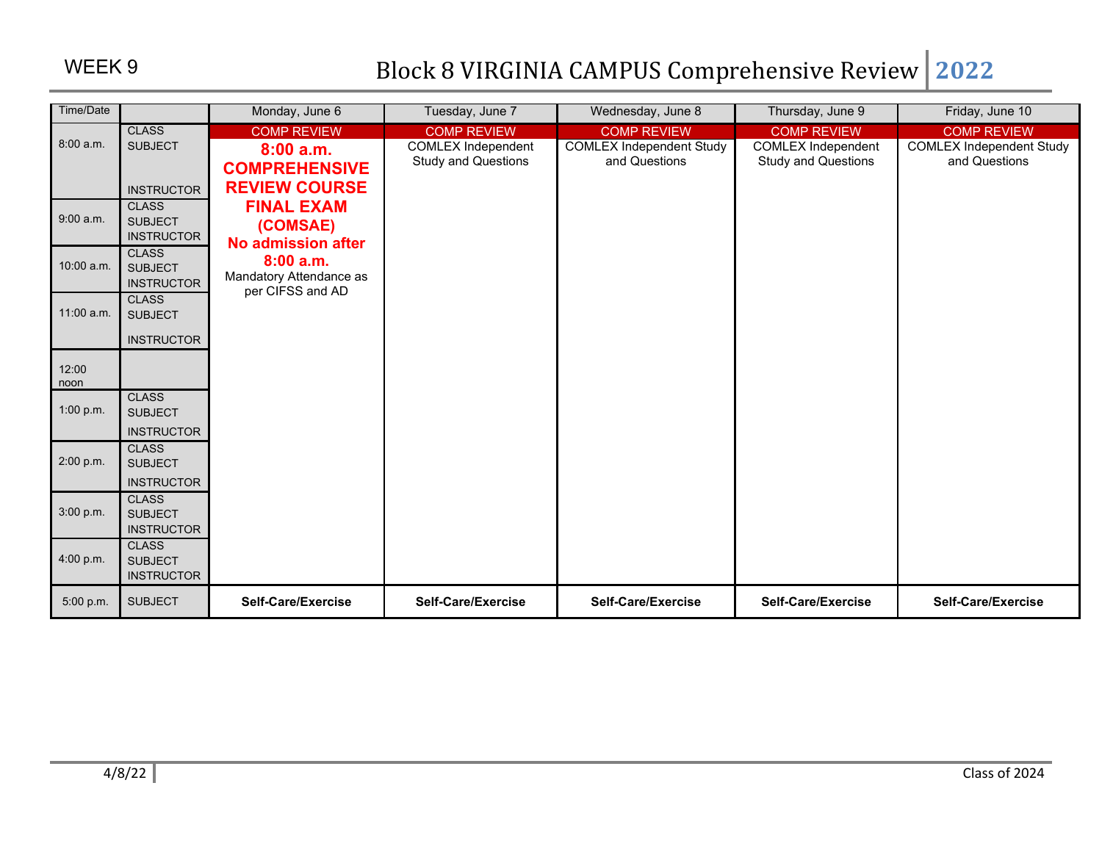| Time/Date    |                                     | Monday, June 6          | Tuesday, June 7            | Wednesday, June 8               | Thursday, June 9           | Friday, June 10                 |
|--------------|-------------------------------------|-------------------------|----------------------------|---------------------------------|----------------------------|---------------------------------|
|              | <b>CLASS</b>                        | <b>COMP REVIEW</b>      | <b>COMP REVIEW</b>         | <b>COMP REVIEW</b>              | <b>COMP REVIEW</b>         | <b>COMP REVIEW</b>              |
| 8:00 a.m.    | <b>SUBJECT</b>                      | 8:00a.m.                | <b>COMLEX Independent</b>  | <b>COMLEX Independent Study</b> | <b>COMLEX Independent</b>  | <b>COMLEX Independent Study</b> |
|              |                                     | <b>COMPREHENSIVE</b>    | <b>Study and Questions</b> | and Questions                   | <b>Study and Questions</b> | and Questions                   |
|              | <b>INSTRUCTOR</b>                   | <b>REVIEW COURSE</b>    |                            |                                 |                            |                                 |
|              | <b>CLASS</b>                        | <b>FINAL EXAM</b>       |                            |                                 |                            |                                 |
| 9:00 a.m.    | <b>SUBJECT</b>                      | (COMSAE)                |                            |                                 |                            |                                 |
|              | <b>INSTRUCTOR</b>                   | No admission after      |                            |                                 |                            |                                 |
| $10:00$ a.m. | <b>CLASS</b><br><b>SUBJECT</b>      | 8:00a.m.                |                            |                                 |                            |                                 |
|              | <b>INSTRUCTOR</b>                   | Mandatory Attendance as |                            |                                 |                            |                                 |
|              | <b>CLASS</b>                        | per CIFSS and AD        |                            |                                 |                            |                                 |
| 11:00 a.m.   | <b>SUBJECT</b>                      |                         |                            |                                 |                            |                                 |
|              | <b>INSTRUCTOR</b>                   |                         |                            |                                 |                            |                                 |
|              |                                     |                         |                            |                                 |                            |                                 |
| 12:00        |                                     |                         |                            |                                 |                            |                                 |
| noon         | <b>CLASS</b>                        |                         |                            |                                 |                            |                                 |
| 1:00 p.m.    | <b>SUBJECT</b>                      |                         |                            |                                 |                            |                                 |
|              | <b>INSTRUCTOR</b>                   |                         |                            |                                 |                            |                                 |
|              | <b>CLASS</b>                        |                         |                            |                                 |                            |                                 |
| 2:00 p.m.    | <b>SUBJECT</b>                      |                         |                            |                                 |                            |                                 |
|              | <b>INSTRUCTOR</b>                   |                         |                            |                                 |                            |                                 |
| 3:00 p.m.    | <b>CLASS</b>                        |                         |                            |                                 |                            |                                 |
|              | <b>SUBJECT</b><br><b>INSTRUCTOR</b> |                         |                            |                                 |                            |                                 |
|              | <b>CLASS</b>                        |                         |                            |                                 |                            |                                 |
| 4:00 p.m.    | <b>SUBJECT</b>                      |                         |                            |                                 |                            |                                 |
|              | <b>INSTRUCTOR</b>                   |                         |                            |                                 |                            |                                 |
| 5:00 p.m.    | <b>SUBJECT</b>                      | Self-Care/Exercise      | Self-Care/Exercise         | Self-Care/Exercise              | Self-Care/Exercise         | Self-Care/Exercise              |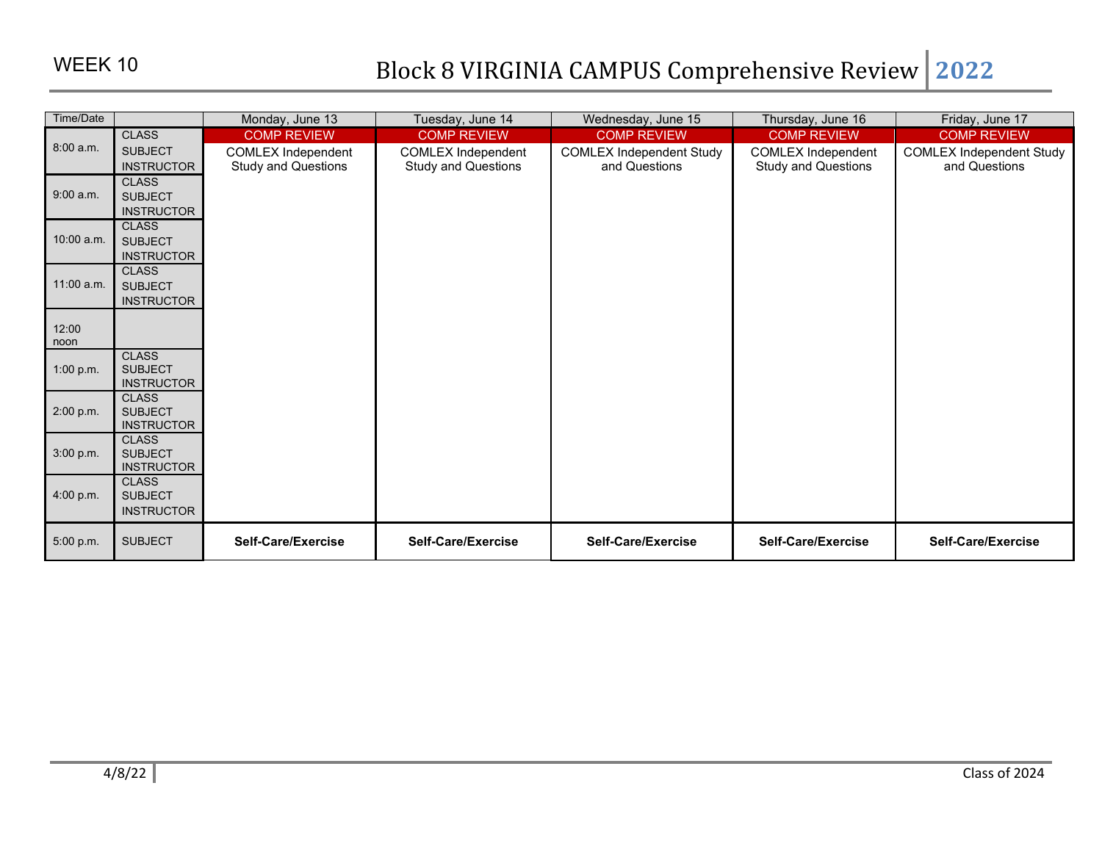| Time/Date     |                                     | Monday, June 13            | Tuesday, June 14           | Wednesday, June 15              | Thursday, June 16          | Friday, June 17                 |
|---------------|-------------------------------------|----------------------------|----------------------------|---------------------------------|----------------------------|---------------------------------|
|               | <b>CLASS</b>                        | <b>COMP REVIEW</b>         | <b>COMP REVIEW</b>         | <b>COMP REVIEW</b>              | <b>COMP REVIEW</b>         | <b>COMP REVIEW</b>              |
| 8:00 a.m.     | <b>SUBJECT</b>                      | <b>COMLEX Independent</b>  | <b>COMLEX Independent</b>  | <b>COMLEX Independent Study</b> | <b>COMLEX Independent</b>  | <b>COMLEX Independent Study</b> |
|               | <b>INSTRUCTOR</b>                   | <b>Study and Questions</b> | <b>Study and Questions</b> | and Questions                   | <b>Study and Questions</b> | and Questions                   |
|               | <b>CLASS</b>                        |                            |                            |                                 |                            |                                 |
| 9:00 a.m.     | <b>SUBJECT</b>                      |                            |                            |                                 |                            |                                 |
|               | <b>INSTRUCTOR</b><br><b>CLASS</b>   |                            |                            |                                 |                            |                                 |
| 10:00 a.m.    | <b>SUBJECT</b>                      |                            |                            |                                 |                            |                                 |
|               | <b>INSTRUCTOR</b>                   |                            |                            |                                 |                            |                                 |
|               | <b>CLASS</b>                        |                            |                            |                                 |                            |                                 |
| 11:00 a.m.    | <b>SUBJECT</b>                      |                            |                            |                                 |                            |                                 |
|               | <b>INSTRUCTOR</b>                   |                            |                            |                                 |                            |                                 |
|               |                                     |                            |                            |                                 |                            |                                 |
| 12:00<br>noon |                                     |                            |                            |                                 |                            |                                 |
|               | <b>CLASS</b>                        |                            |                            |                                 |                            |                                 |
| 1:00 p.m.     | <b>SUBJECT</b>                      |                            |                            |                                 |                            |                                 |
|               | <b>INSTRUCTOR</b>                   |                            |                            |                                 |                            |                                 |
|               | <b>CLASS</b>                        |                            |                            |                                 |                            |                                 |
| 2:00 p.m.     | <b>SUBJECT</b><br><b>INSTRUCTOR</b> |                            |                            |                                 |                            |                                 |
|               | <b>CLASS</b>                        |                            |                            |                                 |                            |                                 |
| 3:00 p.m.     | <b>SUBJECT</b>                      |                            |                            |                                 |                            |                                 |
|               | <b>INSTRUCTOR</b>                   |                            |                            |                                 |                            |                                 |
|               | <b>CLASS</b>                        |                            |                            |                                 |                            |                                 |
| 4:00 p.m.     | <b>SUBJECT</b>                      |                            |                            |                                 |                            |                                 |
|               | <b>INSTRUCTOR</b>                   |                            |                            |                                 |                            |                                 |
| 5:00 p.m.     | <b>SUBJECT</b>                      | Self-Care/Exercise         | Self-Care/Exercise         | Self-Care/Exercise              | Self-Care/Exercise         | Self-Care/Exercise              |